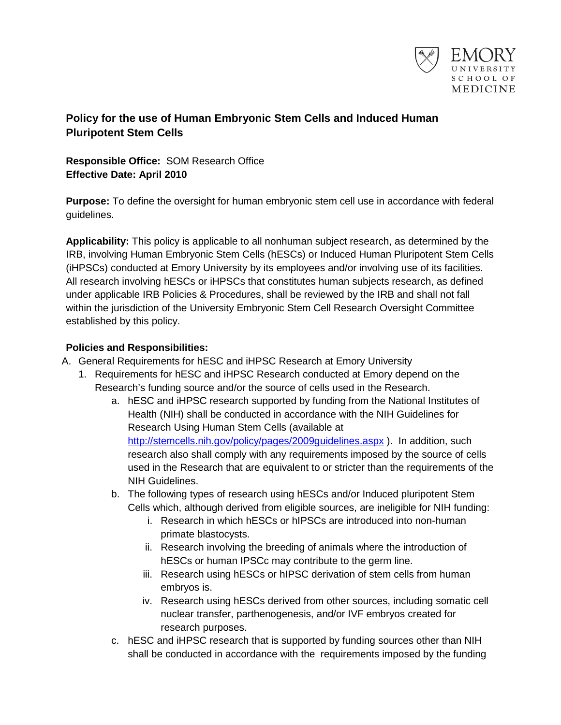

## **Policy for the use of Human Embryonic Stem Cells and Induced Human Pluripotent Stem Cells**

**Responsible Office:** SOM Research Office **Effective Date: April 2010**

**Purpose:** To define the oversight for human embryonic stem cell use in accordance with federal guidelines.

**Applicability:** This policy is applicable to all nonhuman subject research, as determined by the IRB, involving Human Embryonic Stem Cells (hESCs) or Induced Human Pluripotent Stem Cells (iHPSCs) conducted at Emory University by its employees and/or involving use of its facilities. All research involving hESCs or iHPSCs that constitutes human subjects research, as defined under applicable IRB Policies & Procedures, shall be reviewed by the IRB and shall not fall within the jurisdiction of the University Embryonic Stem Cell Research Oversight Committee established by this policy.

## **Policies and Responsibilities:**

- A. General Requirements for hESC and iHPSC Research at Emory University
	- 1. Requirements for hESC and iHPSC Research conducted at Emory depend on the Research's funding source and/or the source of cells used in the Research.
		- a. hESC and iHPSC research supported by funding from the National Institutes of Health (NIH) shall be conducted in accordance with the NIH Guidelines for Research Using Human Stem Cells (available at <http://stemcells.nih.gov/policy/pages/2009guidelines.aspx> ). In addition, such research also shall comply with any requirements imposed by the source of cells used in the Research that are equivalent to or stricter than the requirements of the NIH Guidelines.
		- b. The following types of research using hESCs and/or Induced pluripotent Stem Cells which, although derived from eligible sources, are ineligible for NIH funding:
			- i. Research in which hESCs or hIPSCs are introduced into non-human primate blastocysts.
			- ii. Research involving the breeding of animals where the introduction of hESCs or human IPSCc may contribute to the germ line.
			- iii. Research using hESCs or hIPSC derivation of stem cells from human embryos is.
			- iv. Research using hESCs derived from other sources, including somatic cell nuclear transfer, parthenogenesis, and/or IVF embryos created for research purposes.
		- c. hESC and iHPSC research that is supported by funding sources other than NIH shall be conducted in accordance with the requirements imposed by the funding